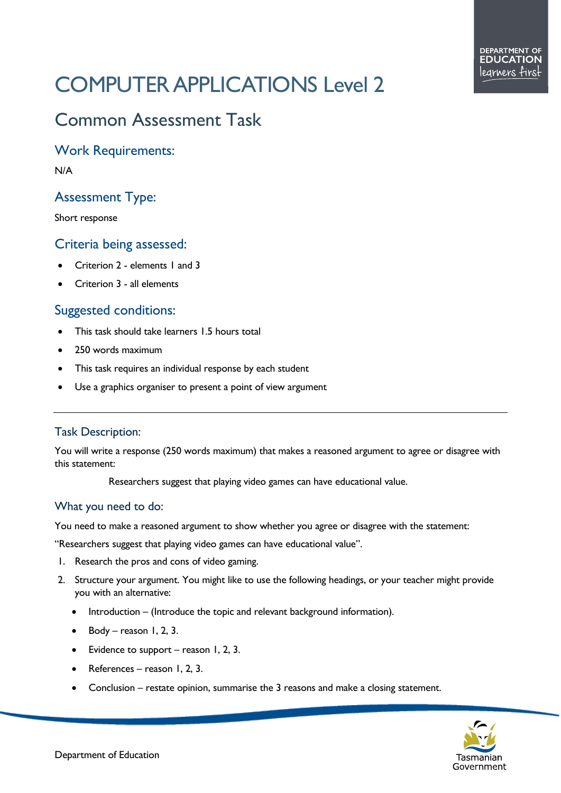# COMPUTER APPLICATIONS Level 2

## Common Assessment Task

Work Requirements:

N/A

### Assessment Type:

Short response

#### Criteria being assessed:

- Criterion 2 elements 1 and 3
- Criterion 3 all elements

#### Suggested conditions:

- This task should take learners 1.5 hours total
- 250 words maximum
- This task requires an individual response by each student
- Use a graphics organiser to present a point of view argument

#### Task Description:

You will write a response (250 words maximum) that makes a reasoned argument to agree or disagree with this statement:

Researchers suggest that playing video games can have educational value.

#### What you need to do:

You need to make a reasoned argument to show whether you agree or disagree with the statement:

"Researchers suggest that playing video games can have educational value".

- 1. Research the pros and cons of video gaming.
- 2. Structure your argument. You might like to use the following headings, or your teacher might provide you with an alternative:
	- Introduction (Introduce the topic and relevant background information).
	- Body reason  $1, 2, 3$ .
	- Evidence to support reason 1, 2, 3.
	- References reason 1, 2, 3.
	- Conclusion restate opinion, summarise the 3 reasons and make a closing statement.